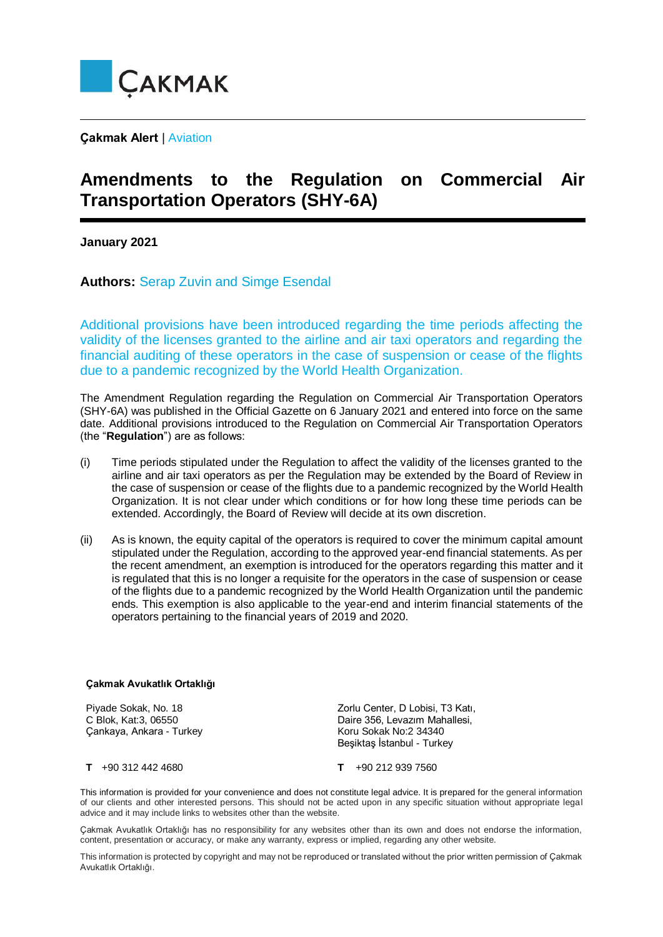

**Çakmak Alert** | Aviation

## **Amendments to the Regulation on Commercial Air Transportation Operators (SHY-6A)**

**January 2021**

**Authors:** Serap Zuvin and Simge Esendal

Additional provisions have been introduced regarding the time periods affecting the validity of the licenses granted to the airline and air taxi operators and regarding the financial auditing of these operators in the case of suspension or cease of the flights due to a pandemic recognized by the World Health Organization.

The Amendment Regulation regarding the Regulation on Commercial Air Transportation Operators (SHY-6A) was published in the Official Gazette on 6 January 2021 and entered into force on the same date. Additional provisions introduced to the Regulation on Commercial Air Transportation Operators (the "**Regulation**") are as follows:

- (i) Time periods stipulated under the Regulation to affect the validity of the licenses granted to the airline and air taxi operators as per the Regulation may be extended by the Board of Review in the case of suspension or cease of the flights due to a pandemic recognized by the World Health Organization. It is not clear under which conditions or for how long these time periods can be extended. Accordingly, the Board of Review will decide at its own discretion.
- (ii) As is known, the equity capital of the operators is required to cover the minimum capital amount stipulated under the Regulation, according to the approved year-end financial statements. As per the recent amendment, an exemption is introduced for the operators regarding this matter and it is regulated that this is no longer a requisite for the operators in the case of suspension or cease of the flights due to a pandemic recognized by the World Health Organization until the pandemic ends. This exemption is also applicable to the year-end and interim financial statements of the operators pertaining to the financial years of 2019 and 2020.

## **Çakmak Avukatlık Ortaklığı**

Piyade Sokak, No. 18 C Blok, Kat:3, 06550 Çankaya, Ankara - Turkey Zorlu Center, D Lobisi, T3 Katı, Daire 356, Levazım Mahallesi, Koru Sokak No:2 34340 Beşiktaş İstanbul - Turkey

**T** +90 312 442 4680 **T** +90 212 939 7560

This information is provided for your convenience and does not constitute legal advice. It is prepared for the general information of our clients and other interested persons. This should not be acted upon in any specific situation without appropriate legal advice and it may include links to websites other than the website.

Çakmak Avukatlık Ortaklığı has no responsibility for any websites other than its own and does not endorse the information, content, presentation or accuracy, or make any warranty, express or implied, regarding any other website.

This information is protected by copyright and may not be reproduced or translated without the prior written permission of Çakmak Avukatlık Ortaklığı.